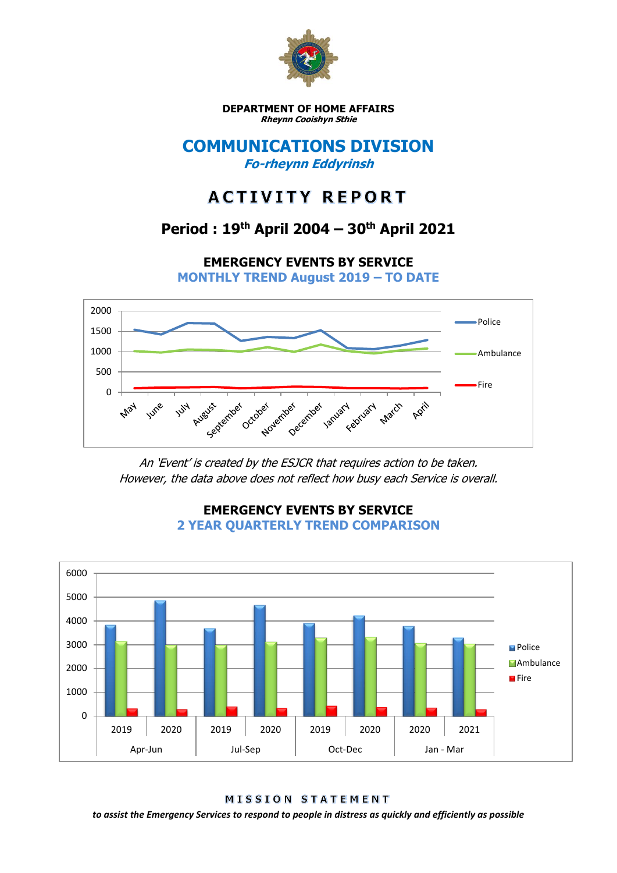

**DEPARTMENT OF HOME AFFAIRS Rheynn Cooishyn Sthie**

### **COMMUNICATIONS DIVISION Fo-rheynn Eddyrinsh**

# **ACTIVITY REPORT**

## **Period : 19th April 2004 – 30th April 2021**

**EMERGENCY EVENTS BY SERVICE**

**MONTHLY TREND August 2019 – TO DATE**



An 'Event' is created by the ESJCR that requires action to be taken. However, the data above does not reflect how busy each Service is overall.



**EMERGENCY EVENTS BY SERVICE 2 YEAR QUARTERLY TREND COMPARISON**

MISSION STATEMENT

*to assist the Emergency Services to respond to people in distress as quickly and efficiently as possible*